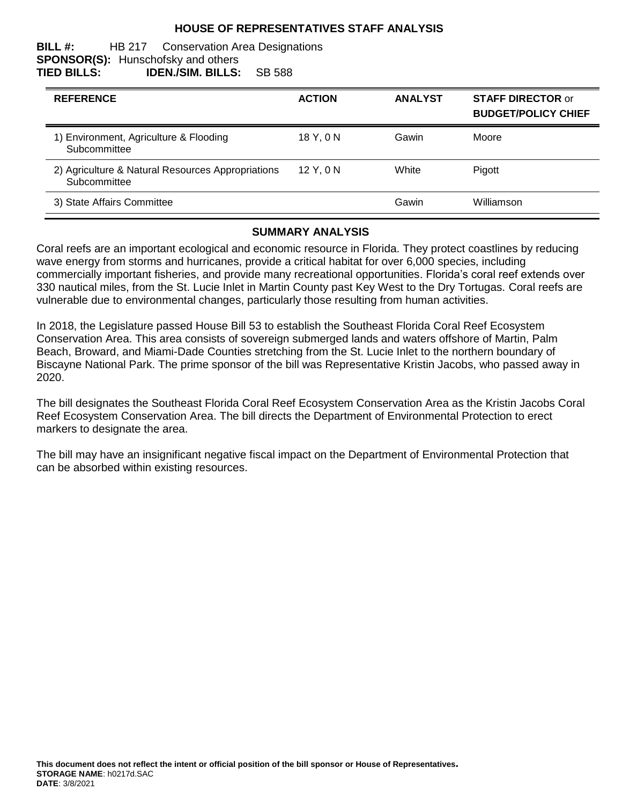## **HOUSE OF REPRESENTATIVES STAFF ANALYSIS**

#### **BILL #:** HB 217 Conservation Area Designations **SPONSOR(S):** Hunschofsky and others **TIED BILLS: IDEN./SIM. BILLS:** SB 588

| <b>REFERENCE</b>                                                  | <b>ACTION</b> | <b>ANALYST</b> | <b>STAFF DIRECTOR or</b><br><b>BUDGET/POLICY CHIEF</b> |
|-------------------------------------------------------------------|---------------|----------------|--------------------------------------------------------|
| 1) Environment, Agriculture & Flooding<br>Subcommittee            | 18 Y.ON       | Gawin          | Moore                                                  |
| 2) Agriculture & Natural Resources Appropriations<br>Subcommittee | 12Y.0N        | White          | Pigott                                                 |
| 3) State Affairs Committee                                        |               | Gawin          | Williamson                                             |

#### **SUMMARY ANALYSIS**

Coral reefs are an important ecological and economic resource in Florida. They protect coastlines by reducing wave energy from storms and hurricanes, provide a critical habitat for over 6,000 species, including commercially important fisheries, and provide many recreational opportunities. Florida's coral reef extends over 330 nautical miles, from the St. Lucie Inlet in Martin County past Key West to the Dry Tortugas. Coral reefs are vulnerable due to environmental changes, particularly those resulting from human activities.

In 2018, the Legislature passed House Bill 53 to establish the Southeast Florida Coral Reef Ecosystem Conservation Area. This area consists of sovereign submerged lands and waters offshore of Martin, Palm Beach, Broward, and Miami-Dade Counties stretching from the St. Lucie Inlet to the northern boundary of Biscayne National Park. The prime sponsor of the bill was Representative Kristin Jacobs, who passed away in 2020.

The bill designates the Southeast Florida Coral Reef Ecosystem Conservation Area as the Kristin Jacobs Coral Reef Ecosystem Conservation Area. The bill directs the Department of Environmental Protection to erect markers to designate the area.

The bill may have an insignificant negative fiscal impact on the Department of Environmental Protection that can be absorbed within existing resources.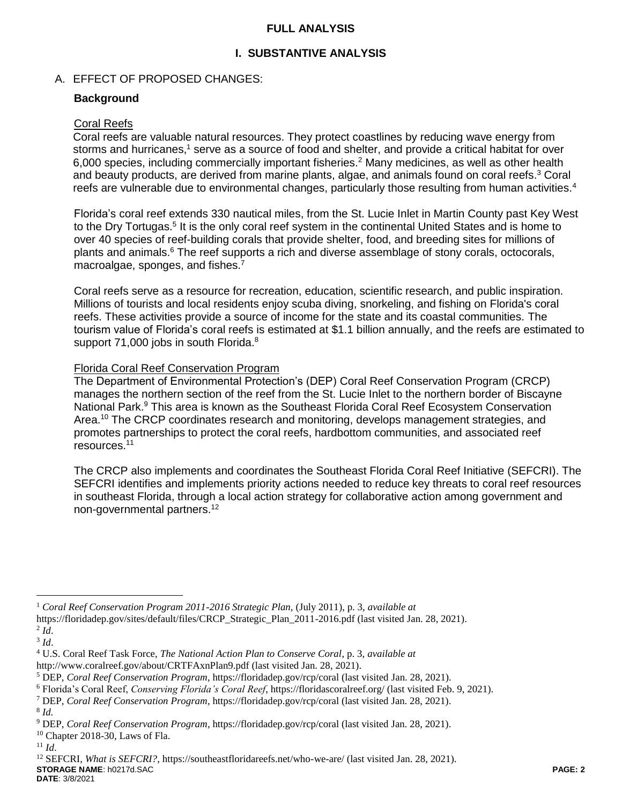# **FULL ANALYSIS**

# **I. SUBSTANTIVE ANALYSIS**

# A. EFFECT OF PROPOSED CHANGES:

## **Background**

#### Coral Reefs

Coral reefs are valuable natural resources. They protect coastlines by reducing wave energy from storms and hurricanes,<sup>1</sup> serve as a source of food and shelter, and provide a critical habitat for over 6,000 species, including commercially important fisheries.<sup>2</sup> Many medicines, as well as other health and beauty products, are derived from marine plants, algae, and animals found on coral reefs. <sup>3</sup> Coral reefs are vulnerable due to environmental changes, particularly those resulting from human activities.<sup>4</sup>

Florida's coral reef extends 330 nautical miles, from the St. Lucie Inlet in Martin County past Key West to the Dry Tortugas.<sup>5</sup> It is the only coral reef system in the continental United States and is home to over 40 species of reef-building corals that provide shelter, food, and breeding sites for millions of plants and animals.<sup>6</sup> The reef supports a rich and diverse assemblage of stony corals, octocorals, macroalgae, sponges, and fishes.<sup>7</sup>

Coral reefs serve as a resource for recreation, education, scientific research, and public inspiration. Millions of tourists and local residents enjoy scuba diving, snorkeling, and fishing on Florida's coral reefs. These activities provide a source of income for the state and its coastal communities. The tourism value of Florida's coral reefs is estimated at \$1.1 billion annually, and the reefs are estimated to support 71,000 jobs in south Florida.<sup>8</sup>

### Florida Coral Reef Conservation Program

The Department of Environmental Protection's (DEP) Coral Reef Conservation Program (CRCP) manages the northern section of the reef from the St. Lucie Inlet to the northern border of Biscayne National Park.<sup>9</sup> This area is known as the Southeast Florida Coral Reef Ecosystem Conservation Area.<sup>10</sup> The CRCP coordinates research and monitoring, develops management strategies, and promotes partnerships to protect the coral reefs, hardbottom communities, and associated reef resources. 11

The CRCP also implements and coordinates the Southeast Florida Coral Reef Initiative (SEFCRI). The SEFCRI identifies and implements priority actions needed to reduce key threats to coral reef resources in southeast Florida, through a local action strategy for collaborative action among government and non-governmental partners.<sup>12</sup>

 $\overline{a}$ 

<sup>1</sup> *Coral Reef Conservation Program 2011-2016 Strategic Plan,* (July 2011), p. 3, *available at*

https://floridadep.gov/sites/default/files/CRCP\_Strategic\_Plan\_2011-2016.pdf (last visited Jan. 28, 2021).

<sup>2</sup> *Id*.

<sup>3</sup> *Id*.

<sup>4</sup> U.S. Coral Reef Task Force, *The National Action Plan to Conserve Coral*, p. 3, *available at*

http://www.coralreef.gov/about/CRTFAxnPlan9.pdf (last visited Jan. 28, 2021).

<sup>5</sup> DEP, *Coral Reef Conservation Program*, https://floridadep.gov/rcp/coral (last visited Jan. 28, 2021).

<sup>6</sup> Florida's Coral Reef, *Conserving Florida's Coral Reef*, https://floridascoralreef.org/ (last visited Feb. 9, 2021).

<sup>7</sup> DEP, *Coral Reef Conservation Program*, https://floridadep.gov/rcp/coral (last visited Jan. 28, 2021).

<sup>8</sup> *Id.* 

<sup>9</sup> DEP, *Coral Reef Conservation Program*, https://floridadep.gov/rcp/coral (last visited Jan. 28, 2021).

 $10$  Chapter 2018-30, Laws of Fla.

<sup>11</sup> *Id*.

**STORAGE NAME**: h0217d.SAC **PAGE: 2** <sup>12</sup> SEFCRI, *What is SEFCRI?*, https://southeastfloridareefs.net/who-we-are/ (last visited Jan. 28, 2021).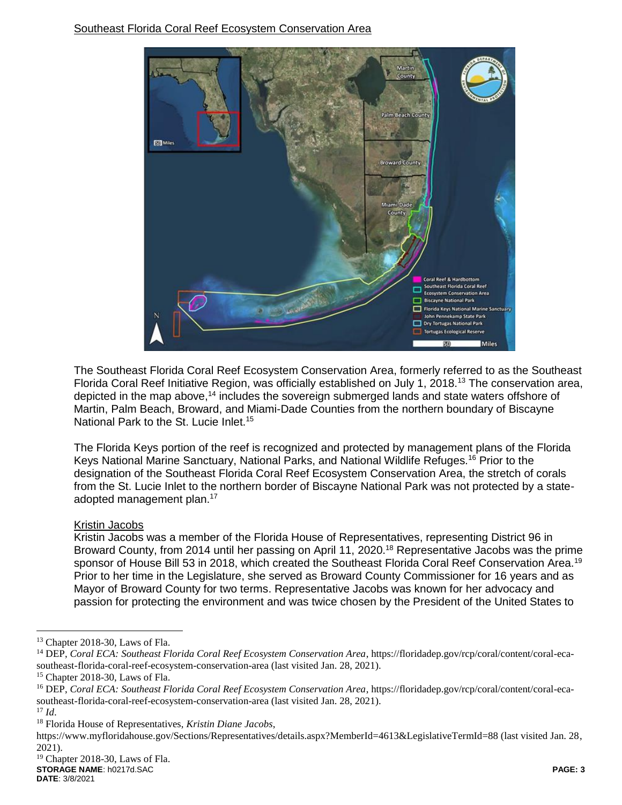

The Southeast Florida Coral Reef Ecosystem Conservation Area, formerly referred to as the Southeast Florida Coral Reef Initiative Region, was officially established on July 1, 2018.<sup>13</sup> The conservation area, depicted in the map above,<sup>14</sup> includes the sovereign submerged lands and state waters offshore of Martin, Palm Beach, Broward, and Miami-Dade Counties from the northern boundary of Biscayne National Park to the St. Lucie Inlet.<sup>15</sup>

The Florida Keys portion of the reef is recognized and protected by management plans of the Florida Keys National Marine Sanctuary, National Parks, and National Wildlife Refuges.<sup>16</sup> Prior to the designation of the Southeast Florida Coral Reef Ecosystem Conservation Area, the stretch of corals from the St. Lucie Inlet to the northern border of Biscayne National Park was not protected by a stateadopted management plan.<sup>17</sup>

# Kristin Jacobs

Kristin Jacobs was a member of the Florida House of Representatives, representing District 96 in Broward County, from 2014 until her passing on April 11, 2020.<sup>18</sup> Representative Jacobs was the prime sponsor of House Bill 53 in 2018, which created the Southeast Florida Coral Reef Conservation Area.<sup>19</sup> Prior to her time in the Legislature, she served as Broward County Commissioner for 16 years and as Mayor of Broward County for two terms. Representative Jacobs was known for her advocacy and passion for protecting the environment and was twice chosen by the President of the United States to

<sup>17</sup> *Id*.

 $\overline{a}$ 

<sup>&</sup>lt;sup>13</sup> Chapter 2018-30, Laws of Fla.

<sup>&</sup>lt;sup>14</sup> DEP, *Coral ECA: Southeast Florida Coral Reef Ecosystem Conservation Area*, https://floridadep.gov/rcp/coral/content/coral-ecasoutheast-florida-coral-reef-ecosystem-conservation-area (last visited Jan. 28, 2021).

<sup>15</sup> Chapter 2018-30, Laws of Fla.

<sup>16</sup> DEP, *Coral ECA: Southeast Florida Coral Reef Ecosystem Conservation Area*, https://floridadep.gov/rcp/coral/content/coral-ecasoutheast-florida-coral-reef-ecosystem-conservation-area (last visited Jan. 28, 2021).

<sup>18</sup> Florida House of Representatives, *Kristin Diane Jacobs*,

https://www.myfloridahouse.gov/Sections/Representatives/details.aspx?MemberId=4613&LegislativeTermId=88 (last visited Jan. 28, 2021).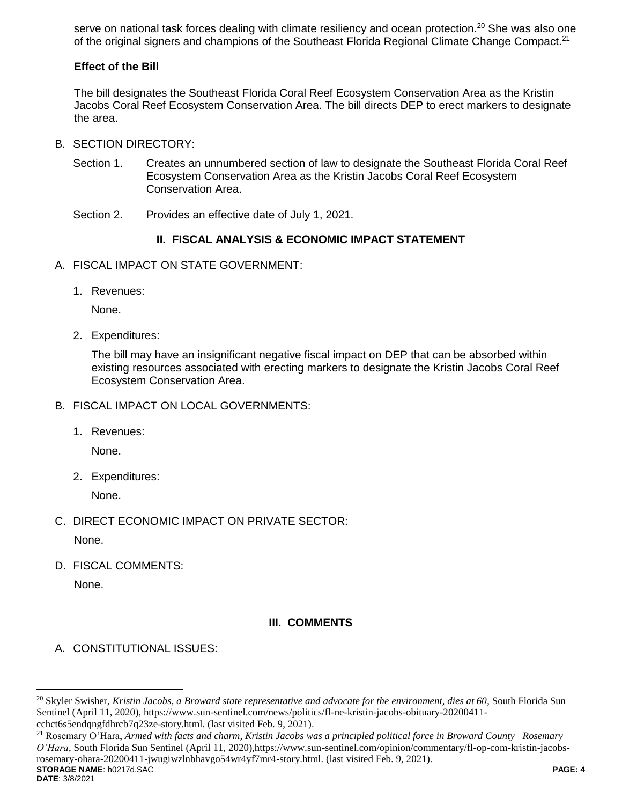serve on national task forces dealing with climate resiliency and ocean protection.<sup>20</sup> She was also one of the original signers and champions of the Southeast Florida Regional Climate Change Compact.<sup>21</sup>

# **Effect of the Bill**

The bill designates the Southeast Florida Coral Reef Ecosystem Conservation Area as the Kristin Jacobs Coral Reef Ecosystem Conservation Area. The bill directs DEP to erect markers to designate the area.

- B. SECTION DIRECTORY:
	- Section 1. Creates an unnumbered section of law to designate the Southeast Florida Coral Reef Ecosystem Conservation Area as the Kristin Jacobs Coral Reef Ecosystem Conservation Area.
	- Section 2. Provides an effective date of July 1, 2021.

# **II. FISCAL ANALYSIS & ECONOMIC IMPACT STATEMENT**

- A. FISCAL IMPACT ON STATE GOVERNMENT:
	- 1. Revenues:

None.

2. Expenditures:

The bill may have an insignificant negative fiscal impact on DEP that can be absorbed within existing resources associated with erecting markers to designate the Kristin Jacobs Coral Reef Ecosystem Conservation Area.

- B. FISCAL IMPACT ON LOCAL GOVERNMENTS:
	- 1. Revenues:

None.

2. Expenditures:

None.

C. DIRECT ECONOMIC IMPACT ON PRIVATE SECTOR:

None.

D. FISCAL COMMENTS:

None.

# **III. COMMENTS**

A. CONSTITUTIONAL ISSUES:

**STORAGE NAME**: h0217d.SAC **PAGE: 4** <sup>21</sup> Rosemary O'Hara, *Armed with facts and charm, Kristin Jacobs was a principled political force in Broward County | Rosemary O'Hara*, South Florida Sun Sentinel (April 11, 2020),https://www.sun-sentinel.com/opinion/commentary/fl-op-com-kristin-jacobsrosemary-ohara-20200411-jwugiwzlnbhavgo54wr4yf7mr4-story.html. (last visited Feb. 9, 2021).

 $\overline{a}$ 

<sup>20</sup> Skyler Swisher, *Kristin Jacobs, a Broward state representative and advocate for the environment, dies at 60*, South Florida Sun Sentinel (April 11, 2020), https://www.sun-sentinel.com/news/politics/fl-ne-kristin-jacobs-obituary-20200411 cchct6s5endqngfdhrcb7q23ze-story.html. (last visited Feb. 9, 2021).